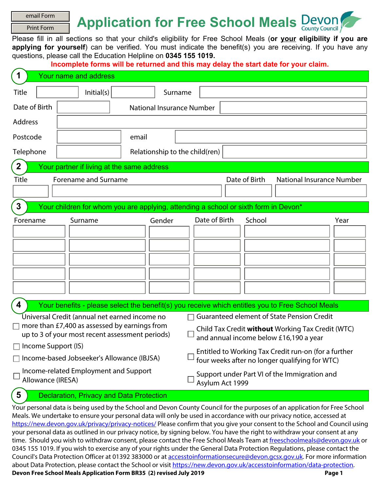| email Form                                                                                                        |                                                                                                                                                                                                                                                                                                                                                                                             | <b>Application for Free School Meals Devon</b> |                                                                                                                                                                                                                                                                                                                               |               |        |                       |      |
|-------------------------------------------------------------------------------------------------------------------|---------------------------------------------------------------------------------------------------------------------------------------------------------------------------------------------------------------------------------------------------------------------------------------------------------------------------------------------------------------------------------------------|------------------------------------------------|-------------------------------------------------------------------------------------------------------------------------------------------------------------------------------------------------------------------------------------------------------------------------------------------------------------------------------|---------------|--------|-----------------------|------|
| <b>Print Form</b>                                                                                                 |                                                                                                                                                                                                                                                                                                                                                                                             |                                                |                                                                                                                                                                                                                                                                                                                               |               |        | <b>County Council</b> |      |
|                                                                                                                   | Please fill in all sections so that your child's eligibility for Free School Meals (or your eligibility if you are<br>applying for yourself) can be verified. You must indicate the benefit(s) you are receiving. If you have any<br>questions, please call the Education Helpline on 0345 155 1019.<br>Incomplete forms will be returned and this may delay the start date for your claim. |                                                |                                                                                                                                                                                                                                                                                                                               |               |        |                       |      |
| $\mathbf 1$                                                                                                       | Your name and address                                                                                                                                                                                                                                                                                                                                                                       |                                                |                                                                                                                                                                                                                                                                                                                               |               |        |                       |      |
| <b>Title</b>                                                                                                      | Initial(s)<br>$\vert \textbf{v} \vert$                                                                                                                                                                                                                                                                                                                                                      |                                                | Surname                                                                                                                                                                                                                                                                                                                       |               |        |                       |      |
| Date of Birth                                                                                                     |                                                                                                                                                                                                                                                                                                                                                                                             | <b>National Insurance Number</b>               |                                                                                                                                                                                                                                                                                                                               |               |        |                       |      |
| Address                                                                                                           |                                                                                                                                                                                                                                                                                                                                                                                             |                                                |                                                                                                                                                                                                                                                                                                                               |               |        |                       |      |
| Postcode                                                                                                          |                                                                                                                                                                                                                                                                                                                                                                                             | email                                          |                                                                                                                                                                                                                                                                                                                               |               |        |                       |      |
| Telephone                                                                                                         |                                                                                                                                                                                                                                                                                                                                                                                             | Relationship to the child(ren)                 |                                                                                                                                                                                                                                                                                                                               |               |        |                       |      |
| $\mathbf{2}$                                                                                                      | Your partner if living at the same address                                                                                                                                                                                                                                                                                                                                                  |                                                |                                                                                                                                                                                                                                                                                                                               |               |        |                       |      |
| Date of Birth<br><b>National Insurance Number</b><br>Forename and Surname<br><b>Title</b><br>$\blacktriangledown$ |                                                                                                                                                                                                                                                                                                                                                                                             |                                                |                                                                                                                                                                                                                                                                                                                               |               |        |                       |      |
| $\mathbf{3}$                                                                                                      | Your children for whom you are applying, attending a school or sixth form in Devon*                                                                                                                                                                                                                                                                                                         |                                                |                                                                                                                                                                                                                                                                                                                               |               |        |                       |      |
| Forename                                                                                                          | Surname                                                                                                                                                                                                                                                                                                                                                                                     | Gender                                         | $\left  \mathbf{v} \right $<br>$\left  \cdot \right $<br>$\vert \textbf{v} \vert$<br>$\left  \cdot \right $<br>$\left  \mathbf{v} \right $                                                                                                                                                                                    | Date of Birth | School |                       | Year |
| 4                                                                                                                 | Your benefits - please select the benefit(s) you receive which entitles you to Free School Meals                                                                                                                                                                                                                                                                                            |                                                |                                                                                                                                                                                                                                                                                                                               |               |        |                       |      |
| Income Support (IS)<br>Allowance (IRESA)                                                                          | Universal Credit (annual net earned income no<br>more than £7,400 as assessed by earnings from<br>up to 3 of your most recent assessment periods)<br>Income-based Jobseeker's Allowance (IBJSA)<br>Income-related Employment and Support                                                                                                                                                    |                                                | <b>Guaranteed element of State Pension Credit</b><br>Child Tax Credit without Working Tax Credit (WTC)<br>and annual income below £16,190 a year<br>Entitled to Working Tax Credit run-on (for a further<br>four weeks after no longer qualifying for WTC)<br>Support under Part VI of the Immigration and<br>Asylum Act 1999 |               |        |                       |      |
| 5                                                                                                                 | <b>Declaration, Privacy and Data Protection</b>                                                                                                                                                                                                                                                                                                                                             |                                                |                                                                                                                                                                                                                                                                                                                               |               |        |                       |      |
|                                                                                                                   | Your personal data is being used by the School and Devon County Council for the purposes of an application for Free School<br>to process a proportional at a will only be used in accordance with our privacy potice accessed at                                                                                                                                                            |                                                |                                                                                                                                                                                                                                                                                                                               |               |        |                       |      |

Meals. We undertake to ensure your personal data will only be used in accordance with our privacy notice, accessed at <https://new.devon.gov.uk/privacy/privacy-notices/>Please confirm that you give your consent to the School and Council using your personal data as outlined in our privacy notice, by signing below. You have the right to withdraw your consent at any time. Should you wish to withdraw consent, please contact the Free School Meals Team at [freeschoolmeals@devon.gov.uk](mailto:freeschoolmeals@devon.gov.uk?subject=Free%20School%20Meals%20-%20Privacy%20and%20Data%20Protection) or 0345 155 1019. If you wish to exercise any of your rights under the General Data Protection Regulations, please contact the Council's Data Protection Officer at 01392 383000 or at [accesstoinformationsecure@devon.gcsx.gov.uk.](mailto:accesstoinformationsecure@devon.gcsx.gov.uk) For more information about Data Protection, please contact the School or visit<https://new.devon.gov.uk/accesstoinformation/data-protection>. **Devon Free School Meals Application Form BR35 (2) revised July 2019 Page 1**